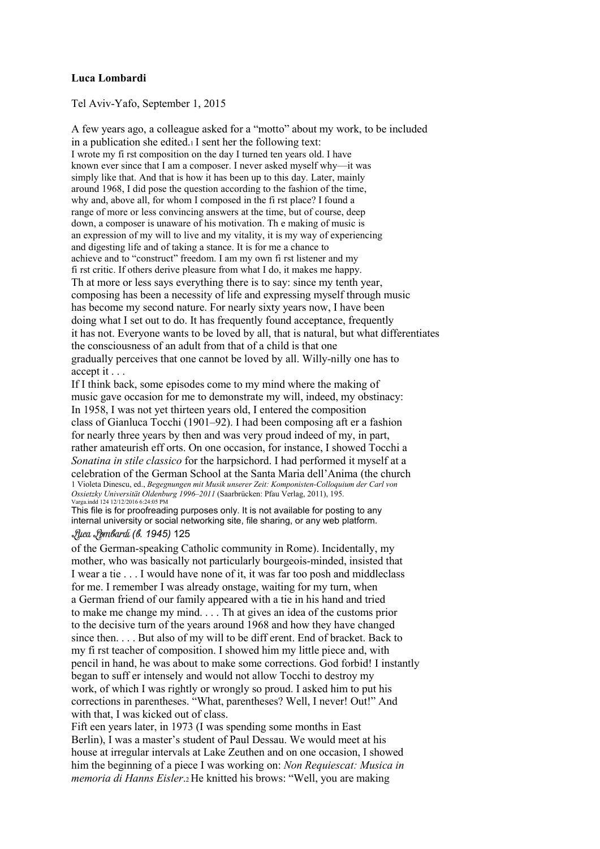## **Luca Lombardi**

Tel Aviv-Yafo, September 1, 2015

A few years ago, a colleague asked for a "motto" about my work, to be included in a publication she edited.<sup>1</sup> I sent her the following text: I wrote my fi rst composition on the day I turned ten years old. I have known ever since that I am a composer. I never asked myself why—it was simply like that. And that is how it has been up to this day. Later, mainly around 1968, I did pose the question according to the fashion of the time, why and, above all, for whom I composed in the fi rst place? I found a range of more or less convincing answers at the time, but of course, deep down, a composer is unaware of his motivation. Th e making of music is an expression of my will to live and my vitality, it is my way of experiencing and digesting life and of taking a stance. It is for me a chance to achieve and to "construct" freedom. I am my own fi rst listener and my fi rst critic. If others derive pleasure from what I do, it makes me happy. Th at more or less says everything there is to say: since my tenth year, composing has been a necessity of life and expressing myself through music has become my second nature. For nearly sixty years now, I have been doing what I set out to do. It has frequently found acceptance, frequently it has not. Everyone wants to be loved by all, that is natural, but what differentiates the consciousness of an adult from that of a child is that one gradually perceives that one cannot be loved by all. Willy-nilly one has to accept it .. .

If I think back, some episodes come to my mind where the making of music gave occasion for me to demonstrate my will, indeed, my obstinacy: In 1958, I was not yet thirteen years old, I entered the composition class of Gianluca Tocchi (1901–92). I had been composing aft er a fashion for nearly three years by then and was very proud indeed of my, in part, rather amateurish eff orts. On one occasion, for instance, I showed Tocchi a *Sonatina in stile classico* for the harpsichord. I had performed it myself at a celebration of the German School at the Santa Maria dell'Anima (the church 1 Violeta Dinescu, ed., *Begegnungen mit Musik unserer Zeit: Komponisten-Colloquium der Carl von Ossietzky Universität Oldenburg 1996–2011* (Saarbrücken: Pfau Verlag, 2011), 195.<br><sub>Varga.indd 124 12/12/2016 6:24:05 PM</sub>

This file is for proofreading purposes only. It is not available for posting to any internal university or social networking site, file sharing, or any web platform. Luca Lombardi *(*b*. 1945)* 125

of the German-speaking Catholic community in Rome). Incidentally, my mother, who was basically not particularly bourgeois-minded, insisted that I wear a tie . . . Iwould have none of it, it was far too posh and middleclass for me. I remember I was already onstage, waiting for my turn, when a German friend of our family appeared with a tie in his hand and tried to make me change my mind. . . . Th at gives an idea of the customs prior to the decisive turn of the years around 1968 and how they have changed since then. . . . But also of my will to be diff erent. End of bracket. Back to my fi rst teacher of composition. I showed him my little piece and, with pencil in hand, he was about to make some corrections. God forbid! I instantly began to suff er intensely and would notallow Tocchi to destroy my work, of which I was rightly or wrongly so proud. I asked him to put his corrections in parentheses. "What, parentheses? Well, I never! Out!" And with that, I was kicked out of class.

Fift een years later, in 1973 (I was spending some months in East Berlin), I was a master's student of Paul Dessau. We would meet at his house at irregular intervals at Lake Zeuthen and on one occasion, I showed him the beginning of a piece I was working on: *Non Requiescat: Musica in memoria di Hanns Eisler*.<sup>2</sup> He knitted his brows: "Well, you are making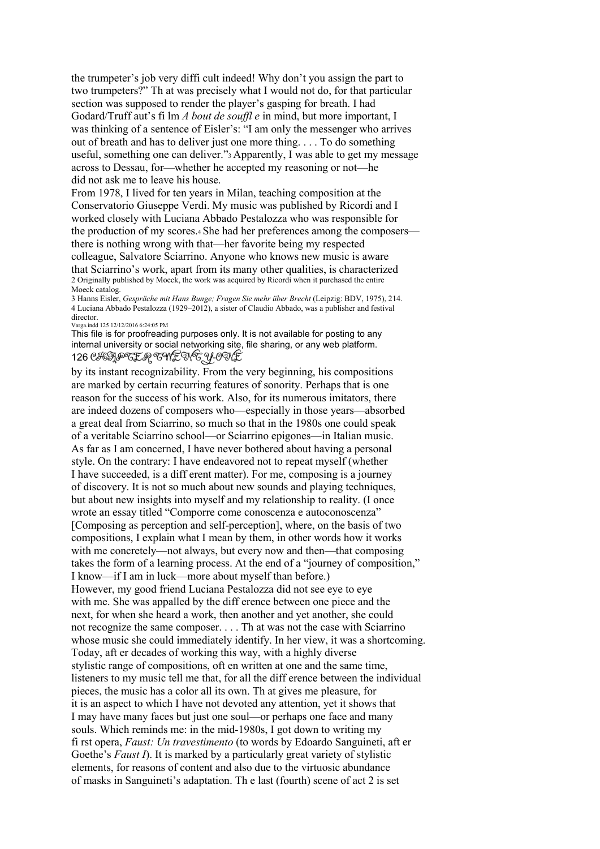the trumpeter's job very diffi cult indeed! Why don't you assign the part to two trumpeters?" Th at was precisely what I would not do, for that particular section was supposed to render the player's gasping for breath. I had Godard/Truff aut's fi lm *A bout de souffl e* in mind, but more important, I was thinking of a sentence of Eisler's: "I am only the messenger who arrives out of breath and has to deliver just one more thing. . . . To do something useful, something one can deliver."<sup>3</sup> Apparently, I was able to get my message across to Dessau, for—whether he accepted my reasoning or not—he did not ask me to leave his house.

From 1978, I lived for ten years in Milan, teaching composition at the Conservatorio Giuseppe Verdi. My music was published by Ricordi and I worked closely with Luciana Abbado Pestalozza who was responsible for the production of my scores.<sup>4</sup> She had her preferences among the composers there is nothing wrong with that—her favorite being my respected colleague, Salvatore Sciarrino. Anyone who knows new music is aware that Sciarrino's work, apart from its many other qualities, is characterized 2 Originally published by Moeck, the work was acquired by Ricordi when it purchased the entire Moeck catalog.

3 Hanns Eisler, *Gespräche mit Hans Bunge; Fragen Sie mehr über Brecht* (Leipzig: BDV, 1975), 214. 4 Luciana Abbado Pestalozza (1929–2012), a sister of Claudio Abbado, was a publisher and festival director. Varga.indd 125 12/12/2016 6:24:05 PM

This file is for proofreading purposes only. It is not available for posting to any internal university or social networking site, file sharing, or any web platform. 126 CHAPTER TWEME Y-ONE

by its instant recognizability. From the very beginning, his compositions are marked by certain recurring features of sonority. Perhaps that is one reason for the success of his work. Also, for its numerous imitators, there are indeed dozens of composers who—especially in those years—absorbed a great deal from Sciarrino, somuch so that in the 1980s one could speak of a veritable Sciarrino school—or Sciarrino epigones—in Italian music. As far as I am concerned, I have never bothered about having a personal style. On the contrary: I have endeavored not to repeat myself (whether I have succeeded, is a diff erent matter). For me, composing is a journey of discovery. It is not so much about new sounds and playing techniques, but about new insights into myself and my relationship to reality. (I once wrote an essay titled "Comporre come conoscenza e autoconoscenza" [Composing as perception and self-perception], where, on the basis of two compositions, I explain what I mean by them, in other words how it works with me concretely—not always, but every now and then—that composing takes the form of a learning process. At the end of a "journey of composition," I know—if I am in luck—more about myself than before.) However, my good friend Luciana Pestalozza did not see eye to eye with me. She was appalled by the difference between one piece and the next, for when she heard a work, then another and yet another, she could not recognize the same composer.  $\dots$  Th at was not the case with Sciarrino whose music she could immediately identify. In her view, it was a shortcoming. Today, aft er decades of working this way, with a highly diverse stylistic range of compositions, oft en written at one and the same time, listeners to my music tell me that, for all the diff erence between the individual pieces, the music has a color all its own. Th at gives me pleasure, for it is an aspect to which I have not devoted any attention, yet it shows that I may have many faces but just one soul—or perhaps one face and many souls. Which reminds me: in the mid-1980s, I got down to writing my fi rst opera, *Faust: Un travestimento* (to words by Edoardo Sanguineti,aft er Goethe's *Faust I*). It is marked by a particularly great variety of stylistic elements, for reasons of content and also due to the virtuosic abundance of masks in Sanguineti's adaptation. Th e last (fourth) scene of act 2 is set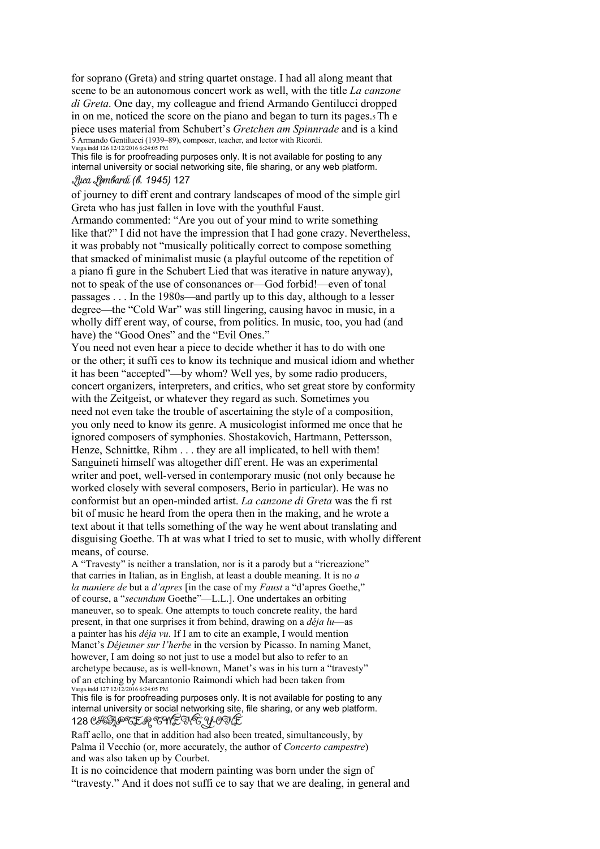for soprano (Greta) and string quartet onstage. I had all along meant that scene to be an autonomous concert work as well, with the title *La canzone di Greta*. One day, my colleague and friend Armando Gentilucci dropped in on me, noticed the score on the piano and began to turn its pages.5Th e piece uses material from Schubert's *Gretchen am Spinnrade* and is a kind 5 Armando Gentilucci (1939–89), composer, teacher, and lector with Ricordi. Varga.indd 126 12/12/2016 6:24:05 PM

This file is for proofreading purposes only. It is not available for posting to any internal university or social networking site, file sharing, or any web platform. Luca Lombardi *(*b*. 1945)* 127

of journey to diff erent and contrary landscapes of mood of the simple girl Greta who has just fallen in love with the youthful Faust.

Armando commented: "Are you out of your mind to write something like that?" I did not have the impression that I had gone crazy. Nevertheless, it was probably not "musically politically correct to compose something that smacked of minimalist music (a playful outcome of the repetition of a piano fi gure in the Schubert Lied that was iterative in nature anyway), not to speak of the use of consonances or—God forbid!—even of tonal passages . . . In the 1980s—and partly up to this day, although to a lesser degree—the "Cold War" was still lingering, causing havoc in music, in a wholly diff erent way, of course, from politics. In music, too, you had (and have) the "Good Ones" and the "Evil Ones."

You need not even hear a piece to decide whether it has to do with one or the other; it suffi ces to know its techniqueand musical idiom and whether it has been "accepted"—by whom? Well yes, by some radio producers, concert organizers, interpreters, and critics, who set great store by conformity with the Zeitgeist, or whatever they regard as such. Sometimes you need not even take the trouble of ascertaining the style of a composition, you only need to know its genre. A musicologist informed me once that he ignored composers of symphonies. Shostakovich, Hartmann, Pettersson, Henze, Schnittke, Rihm . . . they are all implicated, to hell with them! Sanguineti himself was altogether diff erent. He was an experimental writer and poet, well-versed in contemporary music (not only because he worked closely with several composers, Berio in particular). He was no conformist but an open-minded artist. *La canzone di Greta* was the fi rst bit of music he heard from the opera then in the making, and he wrote a text about it that tells something of the way he went about translating and disguising Goethe. Th at was what I tried to set to music, with wholly different means, of course.

A "Travesty" is neither a translation, nor is it a parody but a "ricreazione" that carries in Italian, as in English, at least a double meaning. It is no *a la maniere de* but a *d'apres* [in the case of my *Faust* a "d'apres Goethe," of course, a "*secundum* Goethe"—L.L.]. One undertakes an orbiting maneuver, so to speak. One attempts to touch concrete reality, the hard present, in that one surprises it from behind, drawing on a *déja lu*—as a painter has his *déja vu*. If I am to cite an example, Iwould mention Manet's *Déjeuner sur l'herbe* in the version by Picasso. In naming Manet, however, I am doing so not just to use a model but also to refer to an archetype because, as is well-known, Manet's was in his turn a "travesty" of an etching by Marcantonio Raimondi which had been taken from Varga.indd 127 12/12/2016 6:24:05 PM

This file is for proofreading purposes only. It is not available for posting to any internal university or social networking site, file sharing, or any web platform. 128 CHAPTER TWENTY-ONE

Raff aello, one that in addition had also been treated, simultaneously, by Palma il Vecchio (or, more accurately, the author of *Concerto campestre*) and was also taken up by Courbet.

It is no coincidence that modern painting was born under the sign of "travesty." And it does not suffi ce to say that we are dealing, in general and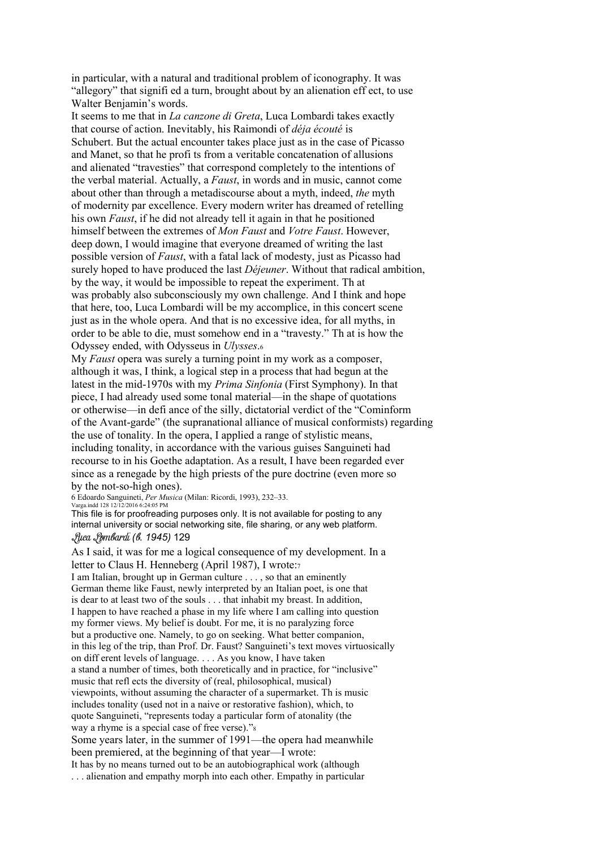in particular, with a natural and traditional problem of iconography. It was "allegory" that signifi ed a turn, brought about by an alienation eff ect, to use Walter Benjamin's words.

It seems to me that in *La canzone di Greta*, Luca Lombardi takes exactly that course of action. Inevitably, his Raimondi of *déja écouté* is Schubert. But the actual encounter takes place just as in the case of Picasso and Manet, so that he profi ts from a veritable concatenation of allusions and alienated "travesties" that correspond completely to the intentions of the verbal material. Actually, a *Faust*, in words and in music, cannot come about other than through a metadiscourse about a myth, indeed, *the* myth of modernity par excellence. Every modern writer has dreamed of retelling his own *Faust*, if he did not already tell it again in that he positioned himself between the extremes of *Mon Faust* and *Votre Faust*. However, deep down, I would imagine that everyone dreamed of writing the last possible version of *Faust*, with a fatal lack of modesty, just as Picasso had surely hoped to have produced the last *Déjeuner*. Without that radical ambition, by the way, it would be impossible to repeat the experiment. Th at was probably also subconsciously my own challenge. And I think and hope that here, too, Luca Lombardi will be my accomplice, in this concert scene just as in the whole opera. And that is no excessive idea, for all myths, in order to be able to die, must somehow end in a "travesty." Th at is how the Odyssey ended, with Odysseus in *Ulysses*.<sup>6</sup>

My *Faust* opera was surely a turning point in my work as a composer, although it was, I think, a logical step in a process that had begun at the latest in the mid-1970s with my *Prima Sinfonia* (First Symphony). In that piece, I had already used some tonal material—in the shape of quotations or otherwise—in defi ance of the silly, dictatorial verdict of the "Cominform of the Avant-garde" (the supranational alliance of musical conformists) regarding the use of tonality. In the opera, I applied a range of stylistic means, including tonality, in accordance with the various guises Sanguineti had recourse to in his Goethe adaptation. As a result, I have been regarded ever since as a renegade by the high priests of the pure doctrine (even more so by the not-so-high ones).

6 Edoardo Sanguineti, *Per Musica* (Milan: Ricordi, 1993), 232–33. Varga.indd 128 12/12/2016 6:24:05 PM

This file is for proofreading purposes only. It is not available for posting to any internal university or social networking site, file sharing, or any web platform. Luca Lombardi *(*b*. 1945)* 129

As I said, it was for me a logical consequence of my development. In a letter to Claus H. Henneberg (April 1987), I wrote:<sup>7</sup> I am Italian, brought up in German culture . . . , so that an eminently German theme like Faust, newly interpreted by an Italian poet, is one that is dear to at least two of the souls . . . that inhabit my breast. In addition, I happen to have reached a phase in my life where I am calling into question my former views. My belief is doubt. For me, it is no paralyzing force but a productive one. Namely, to go on seeking. What better companion, in this leg of the trip, than Prof. Dr. Faust? Sanguineti's text moves virtuosically on diff erent levels of language. . . . As you know, I have taken a stand a number of times, both theoretically and in practice, for "inclusive" music that refl ects the diversity of (real, philosophical, musical) viewpoints, without assuming the character of a supermarket. Th is music includes tonality (used not in a naive or restorative fashion), which, to quote Sanguineti, "represents today a particular form of atonality (the way a rhyme is a special case of free verse)."<sup>8</sup>

Some years later, in the summer of 1991—the opera had meanwhile been premiered, at the beginning of that year—I wrote:

It has by no means turned out to be an autobiographical work (although . . . alienation and empathy morph into each other. Empathy in particular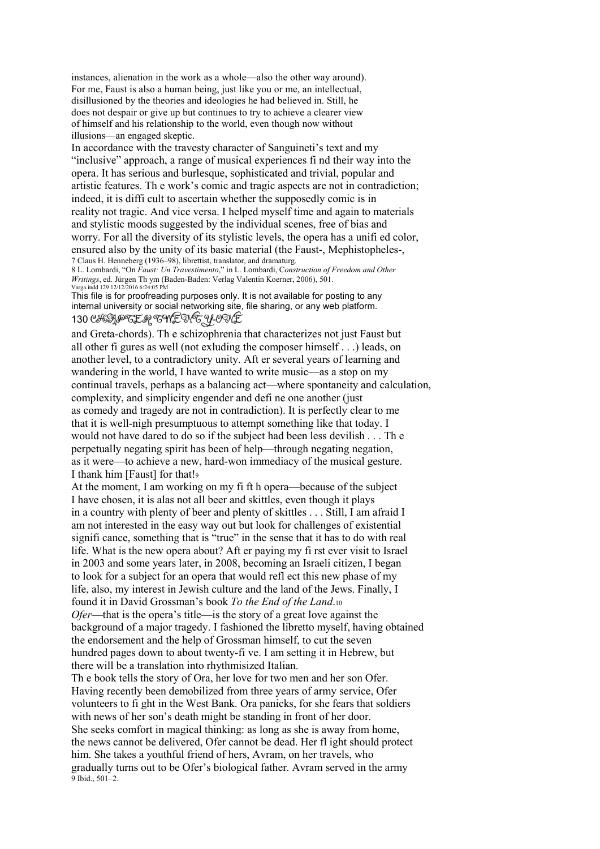instances, alienation in the work as a whole—also the other way around). For me, Faust is also a human being, just like you or me, an intellectual, disillusioned by the theories and ideologies he had believed in. Still, he does not despair or give up but continues to try to achieve a clearer view of himself and his relationship to the world, even though now without illusions—an engaged skeptic.

In accordance with the travesty character of Sanguineti's text and my "inclusive" approach, a range of musical experiences fi nd their way into the opera. It has serious and burlesque, sophisticated and trivial, popular and artistic features.Th e work's comic and tragic aspects are not in contradiction; indeed, it is diffi cult to ascertain whether the supposedly comic is in reality not tragic. And vice versa. I helped myself time and again to materials and stylistic moods suggested by the individual scenes, free of bias and worry. For all the diversity of its stylistic levels, the opera has a unifi ed color, ensured also by the unity of its basic material (the Faust-, Mephistopheles-, 7 Claus H. Henneberg (1936–98), librettist, translator, and dramaturg.

8 L. Lombardi, "On *Faust: Un Travestimento*," in L. Lombardi, C*onstruction of Freedom and Other Writings*, ed. Jürgen Th ym (Baden-Baden: Verlag Valentin Koerner, 2006), 501. Varga.indd 129 12/12/2016 6:24:05 PM

This file is for proofreading purposes only. It is not available for posting to any internal university or social networking site, file sharing, or any web platform. 130 CHAPTER TWENTY-ONE

and Greta-chords). Th e schizophrenia that characterizes not just Faust but all other fi gures as well (not exluding the composer himself . . .) leads, on another level, to a contradictory unity. Aft er several years of learning and wandering in the world, I have wanted to write music—as a stop on my continual travels, perhaps as a balancing act—where spontaneity and calculation, complexity, and simplicity engender and defi ne one another (just as comedy and tragedy are not in contradiction). It is perfectly clear to me that it is well-nigh presumptuous to attempt something like that today. I would not have dared to do so if the subject had been less devilish . . . Th e perpetually negating spirit has been of help—through negating negation, as it were—to achieve a new, hard-won immediacy of the musical gesture. I thank him [Faust] for that!<sup>9</sup>

At the moment, I am working on my fi ft h opera—because of the subject I have chosen, it is alas not all beer and skittles, even though it plays in a country with plenty of beer and plenty of skittles . . . Still, I am afraid I am not interested in the easy way out but look for challenges of existential signifi cance, something that is "true" in the sense that it has to do with real life. What is the new opera about? Aft er paying my fi rst ever visit to Israel in 2003 and some years later, in 2008, becoming an Israeli citizen, I began to look for a subject for an opera that would refl ect this new phase of my life, also, my interest in Jewish culture and the land of the Jews. Finally, I found it in David Grossman's book *To the End of the Land*.<sup>10</sup> *Ofer*—that is the opera's title—is the story of a great love against the background of a major tragedy. I fashioned the libretto myself, having obtained the endorsement and the help of Grossman himself, to cut the seven hundred pages down to about twenty-fi ve. I am setting it in Hebrew, but there will be a translation into rhythmisized Italian.

Th e book tells the story of Ora, her love for two men and her son Ofer. Having recently been demobilized from three years of army service, Ofer volunteers to fi ght in the West Bank. Ora panicks, for she fears that soldiers with news of her son's death might be standing in front of her door. She seeks comfort in magical thinking: as long as she is away from home, the news cannot be delivered, Ofer cannot be dead. Her fl ight should protect him. She takes a youthful friend of hers, Avram, on her travels, who gradually turns out to be Ofer's biological father. Avram served in the army 9 Ibid., 501–2.